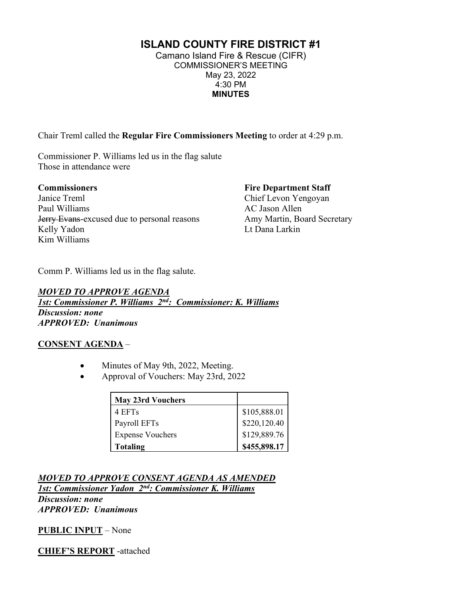# **ISLAND COUNTY FIRE DISTRICT #1**

Camano Island Fire & Rescue (CIFR) COMMISSIONER'S MEETING May 23, 2022 4:30 PM **MINUTES**

Chair Treml called the **Regular Fire Commissioners Meeting** to order at 4:29 p.m.

Commissioner P. Williams led us in the flag salute Those in attendance were

# **Commissioners**

Janice Treml Paul Williams **Jerry Evans-excused due to personal reasons** Kelly Yadon Kim Williams

#### **Fire Department Staff**

Chief Levon Yengoyan AC Jason Allen Amy Martin, Board Secretary Lt Dana Larkin

Comm P. Williams led us in the flag salute.

*MOVED TO APPROVE AGENDA 1st: Commissioner P. Williams 2nd: Commissioner: K. Williams Discussion: none APPROVED: Unanimous*

### **CONSENT AGENDA** –

- Minutes of May 9th, 2022, Meeting.
- Approval of Vouchers: May 23rd, 2022

| <b>May 23rd Vouchers</b> |                                           |
|--------------------------|-------------------------------------------|
| 4 EFTs                   |                                           |
| Payroll EFTs             | $$105,888.01$ $$220,120.40$ $$129,889.76$ |
| <b>Expense Vouchers</b>  |                                           |
| <b>Totaling</b>          | \$455,898.17                              |

*MOVED TO APPROVE CONSENT AGENDA AS AMENDED 1st: Commissioner Yadon 2nd: Commissioner K. Williams Discussion: none* 

*APPROVED: Unanimous*

**PUBLIC INPUT** – None

**CHIEF'S REPORT** -attached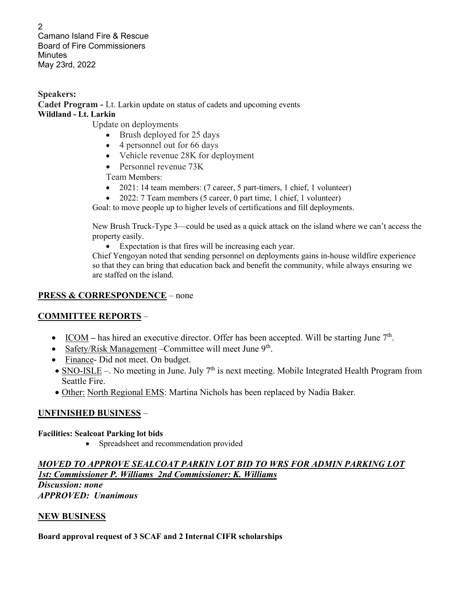2 Camano Island Fire & Rescue Board of Fire Commissioners **Minutes** May 23rd, 2022

**Speakers: Cadet Program -** Lt. Larkin update on status of cadets and upcoming events **Wildland - Lt. Larkin**

Update on deployments

- Brush deployed for 25 days
- 4 personnel out for 66 days
- Vehicle revenue 28K for deployment
- Personnel revenue 73K

Team Members:

- 2021: 14 team members: (7 career, 5 part-timers, 1 chief, 1 volunteer)
- 2022: 7 Team members (5 career, 0 part time, 1 chief, 1 volunteer)

Goal: to move people up to higher levels of certifications and fill deployments.

New Brush Truck-Type 3—could be used as a quick attack on the island where we can't access the property easily.

• Expectation is that fires will be increasing each year.

Chief Yengoyan noted that sending personnel on deployments gains in-house wildfire experience so that they can bring that education back and benefit the community, while always ensuring we are staffed on the island.

### **PRESS & CORRESPONDENCE** – none

# **COMMITTEE REPORTS** –

- ICOM has hired an executive director. Offer has been accepted. Will be starting June 7<sup>th</sup>.
- Safety/Risk Management Committee will meet June  $9<sup>th</sup>$ .
- Finance- Did not meet. On budget.
- SNO-ISLE –. No meeting in June. July  $7<sup>th</sup>$  is next meeting. Mobile Integrated Health Program from Seattle Fire.
- Other: North Regional EMS: Martina Nichols has been replaced by Nadia Baker.

# **UNFINISHED BUSINESS** –

### **Facilities: Sealcoat Parking lot bids**

• Spreadsheet and recommendation provided

## *MOVED TO APPROVE SEALCOAT PARKIN LOT BID TO WRS FOR ADMIN PARKING LOT 1st: Commissioner P. Williams 2nd Commissioner: K. Williams*

*Discussion: none APPROVED: Unanimous*

### **NEW BUSINESS**

### **Board approval request of 3 SCAF and 2 Internal CIFR scholarships**